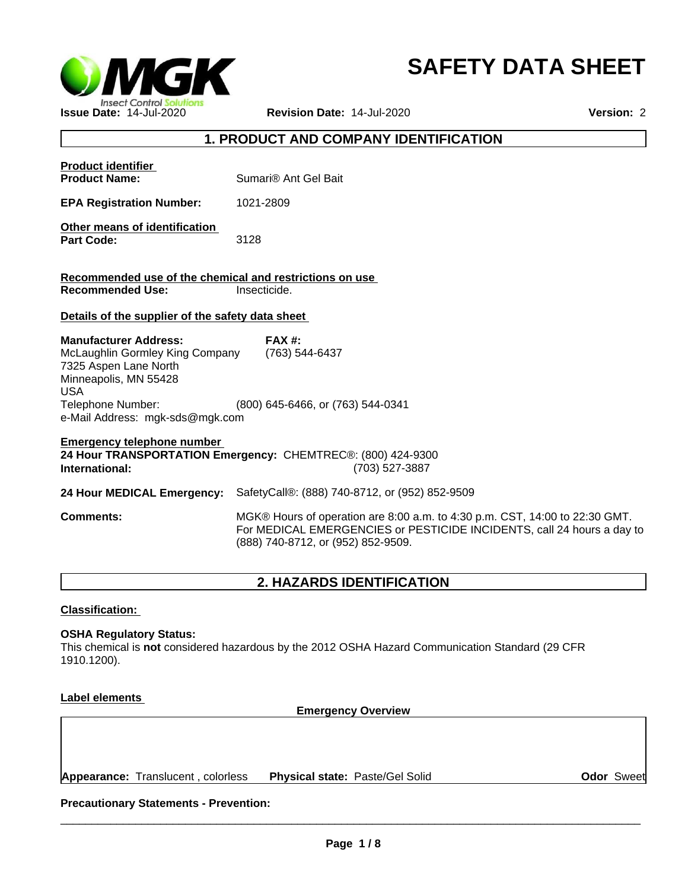

# **SAFETY DATA SHEET**

# **1. PRODUCT AND COMPANY IDENTIFICATION**

| <b>Product identifier</b><br><b>Product Name:</b>                                                                                                                                       | Sumari <sup>®</sup> Ant Gel Bait                                                                                                                                                            |
|-----------------------------------------------------------------------------------------------------------------------------------------------------------------------------------------|---------------------------------------------------------------------------------------------------------------------------------------------------------------------------------------------|
| <b>EPA Registration Number:</b>                                                                                                                                                         | 1021-2809                                                                                                                                                                                   |
| Other means of identification<br><b>Part Code:</b>                                                                                                                                      | 3128                                                                                                                                                                                        |
| Recommended use of the chemical and restrictions on use                                                                                                                                 |                                                                                                                                                                                             |
| <b>Recommended Use:</b>                                                                                                                                                                 | Insecticide.                                                                                                                                                                                |
| Details of the supplier of the safety data sheet                                                                                                                                        |                                                                                                                                                                                             |
| <b>Manufacturer Address:</b><br>McLaughlin Gormley King Company<br>7325 Aspen Lane North<br>Minneapolis, MN 55428<br><b>USA</b><br>Telephone Number:<br>e-Mail Address: mgk-sds@mgk.com | $FAX#$ :<br>(763) 544-6437<br>(800) 645-6466, or (763) 544-0341                                                                                                                             |
| <b>Emergency telephone number</b><br>International:                                                                                                                                     | 24 Hour TRANSPORTATION Emergency: CHEMTREC®: (800) 424-9300<br>(703) 527-3887                                                                                                               |
| 24 Hour MEDICAL Emergency:                                                                                                                                                              | SafetyCall®: (888) 740-8712, or (952) 852-9509                                                                                                                                              |
| <b>Comments:</b>                                                                                                                                                                        | MGK® Hours of operation are 8:00 a.m. to 4:30 p.m. CST, 14:00 to 22:30 GMT.<br>For MEDICAL EMERGENCIES or PESTICIDE INCIDENTS, call 24 hours a day to<br>(888) 740-8712, or (952) 852-9509. |
|                                                                                                                                                                                         |                                                                                                                                                                                             |

# **2. HAZARDS IDENTIFICATION**

**Classification:** 

**OSHA Regulatory Status:**

This chemical is **not** considered hazardous by the 2012 OSHA Hazard Communication Standard (29 CFR 1910.1200).

**Label elements** 

**Emergency Overview**

**Appearance:** Translucent , colorless **Physical state:** Paste/Gel Solid

**Odor** Sweet

**Precautionary Statements - Prevention:**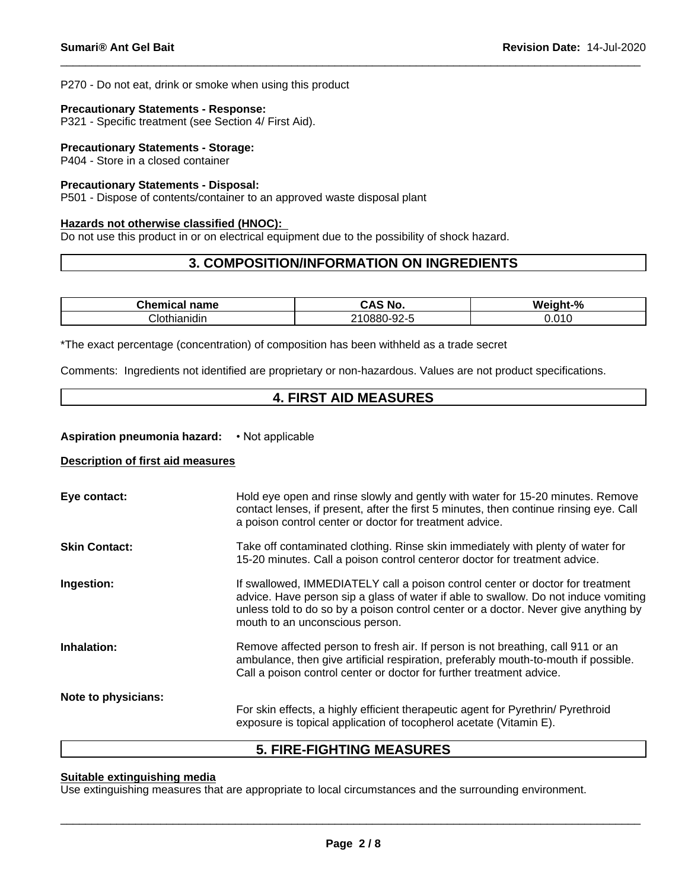P270 - Do not eat, drink or smoke when using this product

#### **Precautionary Statements - Response:**

P321 - Specific treatment (see Section 4/ First Aid).

#### **Precautionary Statements - Storage:**

P404 - Store in a closed container

#### **Precautionary Statements - Disposal:**

P501 - Dispose of contents/container to an approved waste disposal plant

#### **Hazards not otherwise classified (HNOC):**

Do not use this product in or on electrical equipment due to the possibility of shock hazard.

# **3. COMPOSITION/INFORMATION ON INGREDIENTS**

| ----<br>--<br>u ne<br>name              | <b>NO</b><br>$\mathbf{r}$            | $\mathbf{0}$<br>ML.<br>----<br>7ο |
|-----------------------------------------|--------------------------------------|-----------------------------------|
| . .<br><b>-1.</b><br>rhianidir<br>,,,,, | $\sim$ 0.0 $\sim$<br>0880<br>JL<br>_ | 010<br>0.010                      |

\*The exact percentage (concentration) of composition has been withheld as a trade secret

Comments: Ingredients not identified are proprietary or non-hazardous. Values are not product specifications.

# **4. FIRST AID MEASURES**

#### **Aspiration pneumonia hazard:** • Not applicable

#### **Description of first aid measures**

| Eye contact:         | Hold eye open and rinse slowly and gently with water for 15-20 minutes. Remove<br>contact lenses, if present, after the first 5 minutes, then continue rinsing eye. Call<br>a poison control center or doctor for treatment advice.                                                             |
|----------------------|-------------------------------------------------------------------------------------------------------------------------------------------------------------------------------------------------------------------------------------------------------------------------------------------------|
| <b>Skin Contact:</b> | Take off contaminated clothing. Rinse skin immediately with plenty of water for<br>15-20 minutes. Call a poison control centeror doctor for treatment advice.                                                                                                                                   |
| Ingestion:           | If swallowed, IMMEDIATELY call a poison control center or doctor for treatment<br>advice. Have person sip a glass of water if able to swallow. Do not induce vomiting<br>unless told to do so by a poison control center or a doctor. Never give anything by<br>mouth to an unconscious person. |
| Inhalation:          | Remove affected person to fresh air. If person is not breathing, call 911 or an<br>ambulance, then give artificial respiration, preferably mouth-to-mouth if possible.<br>Call a poison control center or doctor for further treatment advice.                                                  |
| Note to physicians:  | For skin effects, a highly efficient therapeutic agent for Pyrethrin/ Pyrethroid<br>exposure is topical application of tocopherol acetate (Vitamin E).                                                                                                                                          |

# **5. FIRE-FIGHTING MEASURES**

# **Suitable extinguishing media**

Use extinguishing measures that are appropriate to local circumstances and the surrounding environment.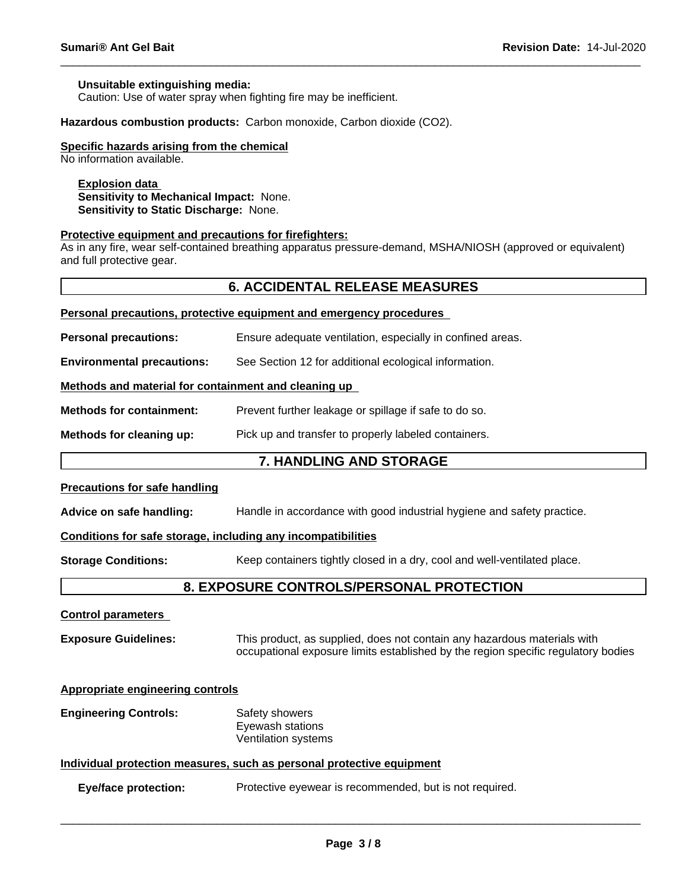#### **Unsuitable extinguishing media:**

Caution: Use of water spray when fighting fire may be inefficient.

**Hazardous combustion products:** Carbon monoxide, Carbon dioxide (CO2).

#### **Specific hazards arising from the chemical**

No information available.

#### **Explosion data**

**Sensitivity to Mechanical Impact:** None. **Sensitivity to Static Discharge:** None.

#### **Protective equipment and precautions for firefighters:**

As in any fire, wear self-contained breathing apparatus pressure-demand, MSHA/NIOSH (approved or equivalent) and full protective gear.

## **6. ACCIDENTAL RELEASE MEASURES**

| Fei sonal precautions, protective equipment and emergency procedures |  |  |  |
|----------------------------------------------------------------------|--|--|--|
|                                                                      |  |  |  |
|                                                                      |  |  |  |
|                                                                      |  |  |  |

**Personal precautions, protective equipment and emergency procedures**

**Personal precautions:** Ensure adequate ventilation, especially in confined areas.

**Environmental precautions:** See Section 12 for additional ecological information.

#### **Methods and material for containment and cleaning up**

**Methods for containment:** Prevent further leakage or spillage if safe to do so.

**Methods for cleaning up:** Pick up and transfer to properly labeled containers.

#### **7. HANDLING AND STORAGE**

#### **Precautions for safe handling**

**Advice on safe handling:** Handle in accordance with good industrial hygiene and safety practice.

#### **Conditions for safe storage, including any incompatibilities**

**Storage Conditions:** Keep containers tightly closed in a dry, cool and well-ventilated place.

# **8. EXPOSURE CONTROLS/PERSONAL PROTECTION**

#### **Control parameters**

**Exposure Guidelines:** This product, as supplied, does not contain any hazardous materials with occupational exposure limits established by the region specific regulatory bodies

#### **Appropriate engineering controls**

**Engineering Controls:** Safety showers Eyewash stations Ventilation systems

#### **Individual protection measures, such as personal protective equipment**

**Eye/face protection:** Protective eyewear is recommended, but is not required.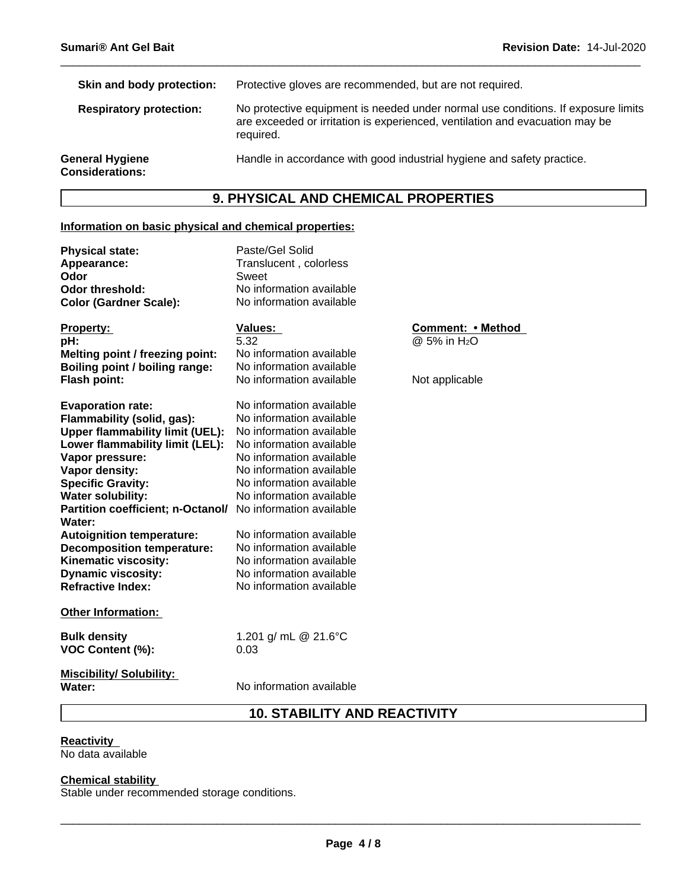| Protective gloves are recommended, but are not required.                                                                                                                       |
|--------------------------------------------------------------------------------------------------------------------------------------------------------------------------------|
| No protective equipment is needed under normal use conditions. If exposure limits<br>are exceeded or irritation is experienced, ventilation and evacuation may be<br>required. |
| Handle in accordance with good industrial hygiene and safety practice.                                                                                                         |
|                                                                                                                                                                                |

# **9. PHYSICAL AND CHEMICAL PROPERTIES**

# **Information on basic physical and chemical properties:**

| <b>Physical state:</b><br>Appearance:<br>Odor<br><b>Odor threshold:</b><br><b>Color (Gardner Scale):</b>                                                                                                                                                                                                                                                                                                                                                           | Paste/Gel Solid<br>Translucent, colorless<br>Sweet<br>No information available<br>No information available                                                                                                                                                                                                                                                               |                                                                 |
|--------------------------------------------------------------------------------------------------------------------------------------------------------------------------------------------------------------------------------------------------------------------------------------------------------------------------------------------------------------------------------------------------------------------------------------------------------------------|--------------------------------------------------------------------------------------------------------------------------------------------------------------------------------------------------------------------------------------------------------------------------------------------------------------------------------------------------------------------------|-----------------------------------------------------------------|
| Property:<br>pH:<br>Melting point / freezing point:<br>Boiling point / boiling range:<br><b>Flash point:</b>                                                                                                                                                                                                                                                                                                                                                       | Values:<br>5.32<br>No information available<br>No information available<br>No information available                                                                                                                                                                                                                                                                      | Comment: • Method<br>@ 5% in H <sub>2</sub> O<br>Not applicable |
| <b>Evaporation rate:</b><br>Flammability (solid, gas):<br><b>Upper flammability limit (UEL):</b><br>Lower flammability limit (LEL):<br>Vapor pressure:<br>Vapor density:<br><b>Specific Gravity:</b><br><b>Water solubility:</b><br>Partition coefficient; n-Octanol/ No information available<br>Water:<br><b>Autoignition temperature:</b><br><b>Decomposition temperature:</b><br>Kinematic viscosity:<br><b>Dynamic viscosity:</b><br><b>Refractive Index:</b> | No information available<br>No information available<br>No information available<br>No information available<br>No information available<br>No information available<br>No information available<br>No information available<br>No information available<br>No information available<br>No information available<br>No information available<br>No information available |                                                                 |
| <b>Other Information:</b>                                                                                                                                                                                                                                                                                                                                                                                                                                          |                                                                                                                                                                                                                                                                                                                                                                          |                                                                 |
| <b>Bulk density</b><br><b>VOC Content (%):</b>                                                                                                                                                                                                                                                                                                                                                                                                                     | 1.201 g/ mL @ 21.6°C<br>0.03                                                                                                                                                                                                                                                                                                                                             |                                                                 |
| <b>Miscibility/Solubility:</b><br>Water:                                                                                                                                                                                                                                                                                                                                                                                                                           | No information available                                                                                                                                                                                                                                                                                                                                                 |                                                                 |

# **10. STABILITY AND REACTIVITY**

**Reactivity**  No data available

# **Chemical stability**

Stable under recommended storage conditions.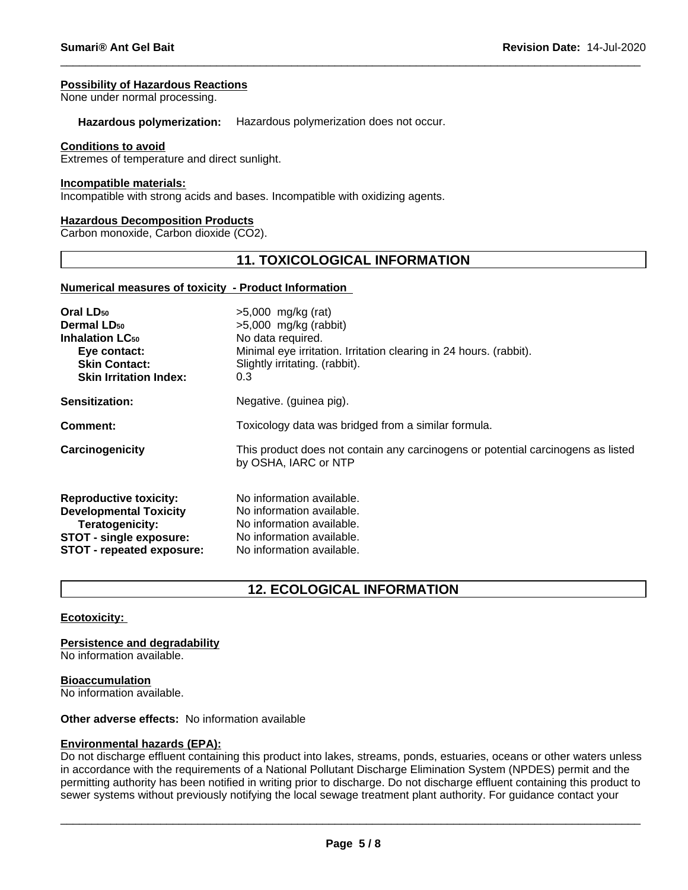#### **Possibility of Hazardous Reactions**

None under normal processing.

**Hazardous polymerization:** Hazardous polymerization does not occur.

#### **Conditions to avoid**

Extremes of temperature and direct sunlight.

#### **Incompatible materials:**

Incompatible with strong acids and bases. Incompatible with oxidizing agents.

#### **Hazardous Decomposition Products**

Carbon monoxide, Carbon dioxide (CO2).

# **11. TOXICOLOGICAL INFORMATION**

#### **Numerical measures of toxicity - Product Information**

| Oral LD <sub>50</sub>             | $>5,000$ mg/kg (rat)                                                                                     |
|-----------------------------------|----------------------------------------------------------------------------------------------------------|
| <b>Dermal LD<sub>50</sub></b>     | $>5,000$ mg/kg (rabbit)                                                                                  |
| <b>Inhalation LC<sub>50</sub></b> | No data required.                                                                                        |
| Eye contact:                      | Minimal eye irritation. Irritation clearing in 24 hours. (rabbit).                                       |
| <b>Skin Contact:</b>              | Slightly irritating. (rabbit).                                                                           |
| <b>Skin Irritation Index:</b>     | 0.3                                                                                                      |
| <b>Sensitization:</b>             | Negative. (guinea pig).                                                                                  |
| Comment:                          | Toxicology data was bridged from a similar formula.                                                      |
| Carcinogenicity                   | This product does not contain any carcinogens or potential carcinogens as listed<br>by OSHA, IARC or NTP |
| <b>Reproductive toxicity:</b>     | No information available.                                                                                |
| <b>Developmental Toxicity</b>     | No information available.                                                                                |
| Teratogenicity:                   | No information available.                                                                                |
| <b>STOT - single exposure:</b>    | No information available.                                                                                |
| STOT - repeated exposure:         | No information available.                                                                                |
|                                   |                                                                                                          |

# **12. ECOLOGICAL INFORMATION**

#### **Ecotoxicity:**

**Persistence and degradability**

No information available.

#### **Bioaccumulation**

No information available.

## **Other adverse effects:** No information available

#### **Environmental hazards (EPA):**

Do not discharge effluent containing this product into lakes, streams, ponds, estuaries, oceans or other waters unless in accordance with the requirements of a National Pollutant Discharge Elimination System (NPDES) permit and the permitting authority has been notified in writing prior to discharge. Do not discharge effluent containing this product to sewer systems without previously notifying the local sewage treatment plant authority. For guidance contact your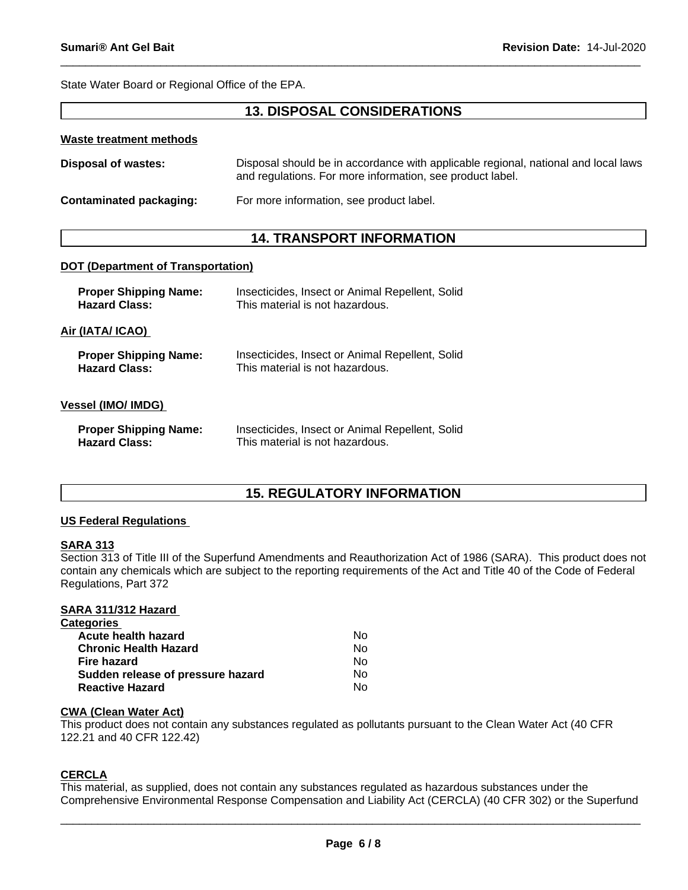State Water Board or Regional Office of the EPA.

# **13. DISPOSAL CONSIDERATIONS**

#### **Waste treatment methods**

| <b>Disposal of wastes:</b> | Disposal should be in accordance with applicable regional, national and local laws |
|----------------------------|------------------------------------------------------------------------------------|
|                            | and regulations. For more information, see product label.                          |

**Contaminated packaging:** For more information, see product label.

# **14. TRANSPORT INFORMATION**

#### **DOT (Department of Transportation)**

| <b>Proper Shipping Name:</b><br><b>Hazard Class:</b> | Insecticides, Insect or Animal Repellent, Solid<br>This material is not hazardous. |  |
|------------------------------------------------------|------------------------------------------------------------------------------------|--|
| Air (IATA/ ICAO)                                     |                                                                                    |  |
| <b>Proper Shipping Name:</b><br><b>Hazard Class:</b> | Insecticides, Insect or Animal Repellent, Solid<br>This material is not hazardous. |  |
| Vessel (IMO/ IMDG)                                   |                                                                                    |  |
| <b>Proper Shipping Name:</b><br><b>Hazard Class:</b> | Insecticides, Insect or Animal Repellent, Solid<br>This material is not hazardous. |  |

# **15. REGULATORY INFORMATION**

#### **US Federal Regulations**

#### **SARA 313**

Section 313 of Title III of the Superfund Amendments and Reauthorization Act of 1986 (SARA). This product does not contain any chemicals which are subject to the reporting requirements of the Act and Title 40 of the Code of Federal Regulations, Part 372

#### **SARA 311/312 Hazard**

| Nο |  |
|----|--|
| Nο |  |
| No |  |
| No |  |
| No |  |
|    |  |

#### **CWA (Clean Water Act)**

This product does not contain any substances regulated as pollutants pursuant to the Clean Water Act (40 CFR 122.21 and 40 CFR 122.42)

## **CERCLA**

This material, as supplied, does not contain any substances regulated as hazardous substances under the Comprehensive Environmental Response Compensation and Liability Act (CERCLA) (40 CFR 302) or the Superfund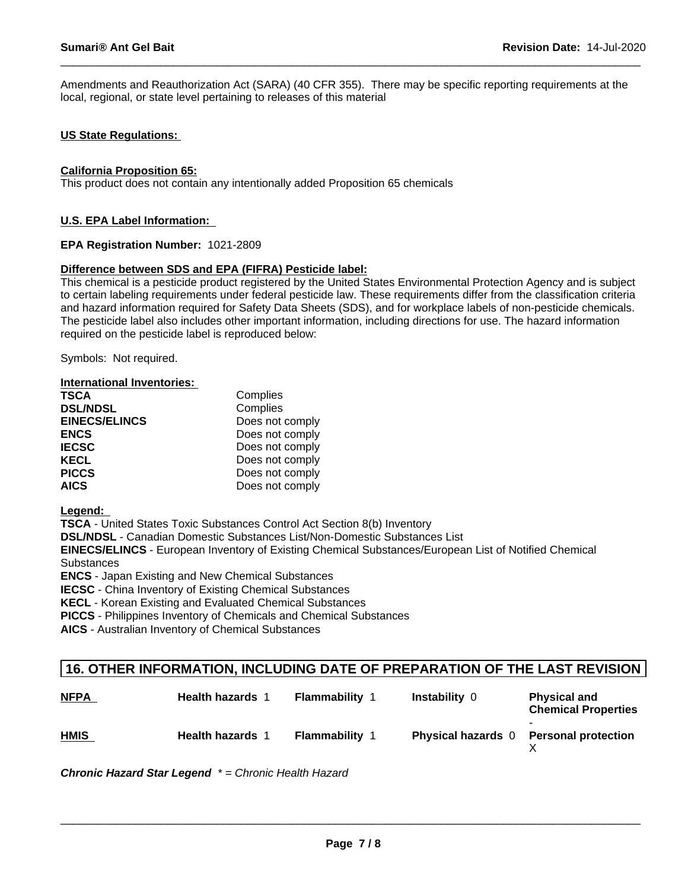Amendments and Reauthorization Act (SARA) (40 CFR 355). There may be specific reporting requirements at the local, regional, or state level pertaining to releases of this material

#### **US State Regulations:**

#### **California Proposition 65:**

This product does not contain any intentionally added Proposition 65 chemicals

#### **U.S. EPA Label Information:**

#### **EPA Registration Number:** 1021-2809

#### **Difference between SDS and EPA (FIFRA) Pesticide label:**

This chemical is a pesticide product registered by the United States Environmental Protection Agency and is subject to certain labeling requirements under federal pesticide law. These requirements differ from the classification criteria and hazard information required for Safety Data Sheets (SDS), and for workplace labels of non-pesticide chemicals. The pesticide label also includes other important information, including directions for use. The hazard information required on the pesticide label is reproduced below:

Symbols: Not required.

| <b>International Inventories:</b> |                 |
|-----------------------------------|-----------------|
| <b>TSCA</b>                       | Complies        |
| <b>DSL/NDSL</b>                   | Complies        |
| <b>EINECS/ELINCS</b>              | Does not comply |
| <b>ENCS</b>                       | Does not comply |
| <b>IECSC</b>                      | Does not comply |
| <b>KECL</b>                       | Does not comply |
| <b>PICCS</b>                      | Does not comply |
| <b>AICS</b>                       | Does not comply |

**Legend:** 

**TSCA** - United States Toxic Substances Control Act Section 8(b) Inventory

**DSL/NDSL** - Canadian Domestic Substances List/Non-Domestic Substances List

**EINECS/ELINCS** - European Inventory of Existing Chemical Substances/European List of Notified Chemical **Substances** 

**ENCS** - Japan Existing and New Chemical Substances

**IECSC** - China Inventory of Existing Chemical Substances

**KECL** - Korean Existing and Evaluated Chemical Substances

**PICCS** - Philippines Inventory of Chemicals and Chemical Substances

**AICS** - Australian Inventory of Chemical Substances

# **16. OTHER INFORMATION, INCLUDING DATE OF PREPARATION OF THE LAST REVISION**

| <b>NFPA</b> | <b>Health hazards 1</b> | <b>Flammability</b>   | <b>Instability 0</b>      | <b>Physical and</b><br><b>Chemical Properties</b> |
|-------------|-------------------------|-----------------------|---------------------------|---------------------------------------------------|
| <b>HMIS</b> | <b>Health hazards 1</b> | <b>Flammability 1</b> | <b>Physical hazards</b> 0 | <b>Personal protection</b>                        |

*Chronic Hazard Star Legend \* = Chronic Health Hazard*